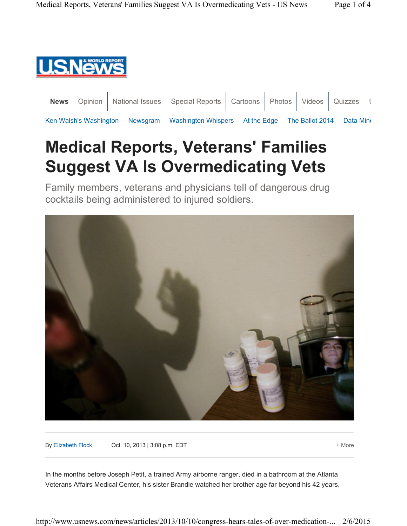

|                                                                                           |  | News Opinion   National Issues   Special Reports   Cartoons   Photos   Videos   Quizzes   L |  |  |  |
|-------------------------------------------------------------------------------------------|--|---------------------------------------------------------------------------------------------|--|--|--|
| Ken Walsh's Washington Newsgram Washington Whispers At the Edge The Ballot 2014 Data Mine |  |                                                                                             |  |  |  |

## **Medical Reports, Veterans' Families Suggest VA Is Overmedicating Vets**

Family members, veterans and physicians tell of dangerous drug cocktails being administered to injured soldiers.



By Elizabeth Flock **Oct. 10, 2013 | 3:08 p.m. EDT** + More

In the months before Joseph Petit, a trained Army airborne ranger, died in a bathroom at the Atlanta Veterans Affairs Medical Center, his sister Brandie watched her brother age far beyond his 42 years.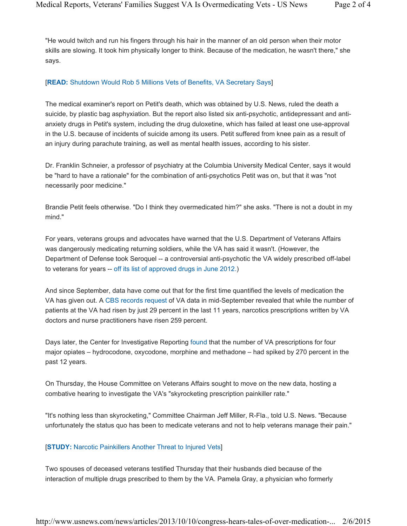"He would twitch and run his fingers through his hair in the manner of an old person when their motor skills are slowing. It took him physically longer to think. Because of the medication, he wasn't there," she says.

## [**READ:** Shutdown Would Rob 5 Millions Vets of Benefits, VA Secretary Says]

The medical examiner's report on Petit's death, which was obtained by U.S. News, ruled the death a suicide, by plastic bag asphyxiation. But the report also listed six anti-psychotic, antidepressant and antianxiety drugs in Petit's system, including the drug duloxetine, which has failed at least one use-approval in the U.S. because of incidents of suicide among its users. Petit suffered from knee pain as a result of an injury during parachute training, as well as mental health issues, according to his sister.

Dr. Franklin Schneier, a professor of psychiatry at the Columbia University Medical Center, says it would be "hard to have a rationale" for the combination of anti-psychotics Petit was on, but that it was "not necessarily poor medicine."

Brandie Petit feels otherwise. "Do I think they overmedicated him?" she asks. "There is not a doubt in my mind."

For years, veterans groups and advocates have warned that the U.S. Department of Veterans Affairs was dangerously medicating returning soldiers, while the VA has said it wasn't. (However, the Department of Defense took Seroquel -- a controversial anti-psychotic the VA widely prescribed off-label to veterans for years -- off its list of approved drugs in June 2012.)

And since September, data have come out that for the first time quantified the levels of medication the VA has given out. A CBS records request of VA data in mid-September revealed that while the number of patients at the VA had risen by just 29 percent in the last 11 years, narcotics prescriptions written by VA doctors and nurse practitioners have risen 259 percent.

Days later, the Center for Investigative Reporting found that the number of VA prescriptions for four major opiates – hydrocodone, oxycodone, morphine and methadone – had spiked by 270 percent in the past 12 years.

On Thursday, the House Committee on Veterans Affairs sought to move on the new data, hosting a combative hearing to investigate the VA's "skyrocketing prescription painkiller rate."

"It's nothing less than skyrocketing," Committee Chairman Jeff Miller, R-Fla., told U.S. News. "Because unfortunately the status quo has been to medicate veterans and not to help veterans manage their pain."

## [**STUDY:** Narcotic Painkillers Another Threat to Injured Vets]

Two spouses of deceased veterans testified Thursday that their husbands died because of the interaction of multiple drugs prescribed to them by the VA. Pamela Gray, a physician who formerly